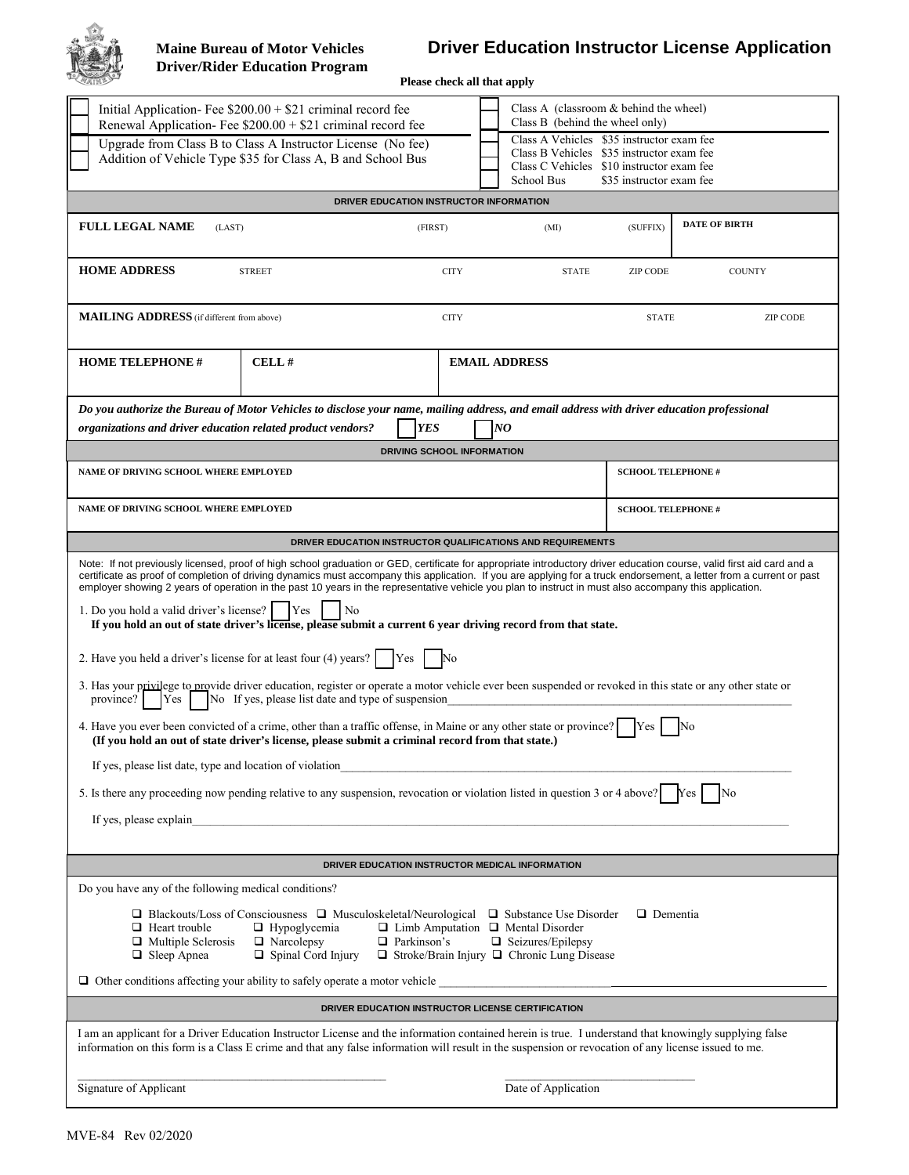

# **Driver/Rider Education Program**

# **Maine Bureau of Motor Vehicles Driver Education Instructor License Application**

**Please check all that apply** 

| Initial Application-Fee $$200.00 + $21$ criminal record fee<br>Renewal Application-Fee $$200.00 + $21$ criminal record fee                                                                                                                                                                                                                                                                                                                                                                                                                                                                                                                                                                                                                                                                                                                                                                                                                                                                                                                                                                                                                              |                                      |                           |             | Class A (classroom $&$ behind the wheel)<br>Class B (behind the wheel only)            |                           |                      |  |  |  |  |  |
|---------------------------------------------------------------------------------------------------------------------------------------------------------------------------------------------------------------------------------------------------------------------------------------------------------------------------------------------------------------------------------------------------------------------------------------------------------------------------------------------------------------------------------------------------------------------------------------------------------------------------------------------------------------------------------------------------------------------------------------------------------------------------------------------------------------------------------------------------------------------------------------------------------------------------------------------------------------------------------------------------------------------------------------------------------------------------------------------------------------------------------------------------------|--------------------------------------|---------------------------|-------------|----------------------------------------------------------------------------------------|---------------------------|----------------------|--|--|--|--|--|
| Upgrade from Class B to Class A Instructor License (No fee)                                                                                                                                                                                                                                                                                                                                                                                                                                                                                                                                                                                                                                                                                                                                                                                                                                                                                                                                                                                                                                                                                             |                                      |                           |             | Class A Vehicles \$35 instructor exam fee                                              |                           |                      |  |  |  |  |  |
| Addition of Vehicle Type \$35 for Class A, B and School Bus                                                                                                                                                                                                                                                                                                                                                                                                                                                                                                                                                                                                                                                                                                                                                                                                                                                                                                                                                                                                                                                                                             |                                      |                           |             | Class B Vehicles \$35 instructor exam fee<br>Class C Vehicles \$10 instructor exam fee |                           |                      |  |  |  |  |  |
|                                                                                                                                                                                                                                                                                                                                                                                                                                                                                                                                                                                                                                                                                                                                                                                                                                                                                                                                                                                                                                                                                                                                                         |                                      |                           |             | School Bus                                                                             | \$35 instructor exam fee  |                      |  |  |  |  |  |
| DRIVER EDUCATION INSTRUCTOR INFORMATION                                                                                                                                                                                                                                                                                                                                                                                                                                                                                                                                                                                                                                                                                                                                                                                                                                                                                                                                                                                                                                                                                                                 |                                      |                           |             |                                                                                        |                           |                      |  |  |  |  |  |
| <b>FULL LEGAL NAME</b><br>(LAST)                                                                                                                                                                                                                                                                                                                                                                                                                                                                                                                                                                                                                                                                                                                                                                                                                                                                                                                                                                                                                                                                                                                        |                                      | (FIRST)                   |             | (MI)                                                                                   | (SUFFIX)                  | <b>DATE OF BIRTH</b> |  |  |  |  |  |
| <b>HOME ADDRESS</b><br><b>STREET</b>                                                                                                                                                                                                                                                                                                                                                                                                                                                                                                                                                                                                                                                                                                                                                                                                                                                                                                                                                                                                                                                                                                                    |                                      |                           | <b>CITY</b> | <b>STATE</b>                                                                           | ZIP CODE                  | <b>COUNTY</b>        |  |  |  |  |  |
| <b>MAILING ADDRESS</b> (if different from above)                                                                                                                                                                                                                                                                                                                                                                                                                                                                                                                                                                                                                                                                                                                                                                                                                                                                                                                                                                                                                                                                                                        |                                      |                           | <b>CITY</b> | <b>STATE</b><br><b>ZIP CODE</b>                                                        |                           |                      |  |  |  |  |  |
| <b>HOME TELEPHONE #</b>                                                                                                                                                                                                                                                                                                                                                                                                                                                                                                                                                                                                                                                                                                                                                                                                                                                                                                                                                                                                                                                                                                                                 | <b>CELL#</b><br><b>EMAIL ADDRESS</b> |                           |             |                                                                                        |                           |                      |  |  |  |  |  |
| Do you authorize the Bureau of Motor Vehicles to disclose your name, mailing address, and email address with driver education professional<br><b>YES</b><br>NO<br>organizations and driver education related product vendors?                                                                                                                                                                                                                                                                                                                                                                                                                                                                                                                                                                                                                                                                                                                                                                                                                                                                                                                           |                                      |                           |             |                                                                                        |                           |                      |  |  |  |  |  |
| <b>DRIVING SCHOOL INFORMATION</b>                                                                                                                                                                                                                                                                                                                                                                                                                                                                                                                                                                                                                                                                                                                                                                                                                                                                                                                                                                                                                                                                                                                       |                                      |                           |             |                                                                                        |                           |                      |  |  |  |  |  |
| NAME OF DRIVING SCHOOL WHERE EMPLOYED                                                                                                                                                                                                                                                                                                                                                                                                                                                                                                                                                                                                                                                                                                                                                                                                                                                                                                                                                                                                                                                                                                                   |                                      |                           |             |                                                                                        | <b>SCHOOL TELEPHONE #</b> |                      |  |  |  |  |  |
| NAME OF DRIVING SCHOOL WHERE EMPLOYED                                                                                                                                                                                                                                                                                                                                                                                                                                                                                                                                                                                                                                                                                                                                                                                                                                                                                                                                                                                                                                                                                                                   |                                      | <b>SCHOOL TELEPHONE #</b> |             |                                                                                        |                           |                      |  |  |  |  |  |
|                                                                                                                                                                                                                                                                                                                                                                                                                                                                                                                                                                                                                                                                                                                                                                                                                                                                                                                                                                                                                                                                                                                                                         |                                      |                           |             | DRIVER EDUCATION INSTRUCTOR QUALIFICATIONS AND REQUIREMENTS                            |                           |                      |  |  |  |  |  |
| employer showing 2 years of operation in the past 10 years in the representative vehicle you plan to instruct in must also accompany this application.<br>1. Do you hold a valid driver's license?<br>Yes<br>No<br>If you hold an out of state driver's license, please submit a current 6 year driving record from that state.<br>2. Have you held a driver's license for at least four (4) years?<br>Yes<br>No<br>3. Has your privilege to provide driver education, register or operate a motor vehicle ever been suspended or revoked in this state or any other state or<br>No If yes, please list date and type of suspension<br>province?<br><b>Yes</b><br>4. Have you ever been convicted of a crime, other than a traffic offense, in Maine or any other state or province?<br><b>Yes</b><br>No<br>(If you hold an out of state driver's license, please submit a criminal record from that state.)<br>If yes, please list date, type and location of violation<br>5. Is there any proceeding now pending relative to any suspension, revocation or violation listed in question 3 or 4 above? Yes<br>N <sub>0</sub><br>If yes, please explain |                                      |                           |             |                                                                                        |                           |                      |  |  |  |  |  |
|                                                                                                                                                                                                                                                                                                                                                                                                                                                                                                                                                                                                                                                                                                                                                                                                                                                                                                                                                                                                                                                                                                                                                         |                                      |                           |             | DRIVER EDUCATION INSTRUCTOR MEDICAL INFORMATION                                        |                           |                      |  |  |  |  |  |
| Do you have any of the following medical conditions?                                                                                                                                                                                                                                                                                                                                                                                                                                                                                                                                                                                                                                                                                                                                                                                                                                                                                                                                                                                                                                                                                                    |                                      |                           |             |                                                                                        |                           |                      |  |  |  |  |  |
| $\Box$ Dementia<br>$\Box$ Blackouts/Loss of Consciousness $\Box$ Musculoskeletal/Neurological $\Box$ Substance Use Disorder<br>$\Box$ Heart trouble<br>$\Box$ Hypoglycemia<br>$\Box$ Limb Amputation $\Box$ Mental Disorder<br>$\Box$ Multiple Sclerosis<br>$\Box$ Narcolepsy<br>$\Box$ Parkinson's<br>$\Box$ Seizures/Epilepsy<br>$\Box$ Spinal Cord Injury<br>$\Box$ Stroke/Brain Injury $\Box$ Chronic Lung Disease<br>$\Box$ Sleep Apnea                                                                                                                                                                                                                                                                                                                                                                                                                                                                                                                                                                                                                                                                                                            |                                      |                           |             |                                                                                        |                           |                      |  |  |  |  |  |
| $\Box$ Other conditions affecting your ability to safely operate a motor vehicle $\Box$                                                                                                                                                                                                                                                                                                                                                                                                                                                                                                                                                                                                                                                                                                                                                                                                                                                                                                                                                                                                                                                                 |                                      |                           |             |                                                                                        |                           |                      |  |  |  |  |  |
| DRIVER EDUCATION INSTRUCTOR LICENSE CERTIFICATION                                                                                                                                                                                                                                                                                                                                                                                                                                                                                                                                                                                                                                                                                                                                                                                                                                                                                                                                                                                                                                                                                                       |                                      |                           |             |                                                                                        |                           |                      |  |  |  |  |  |
| I am an applicant for a Driver Education Instructor License and the information contained herein is true. I understand that knowingly supplying false<br>information on this form is a Class E crime and that any false information will result in the suspension or revocation of any license issued to me.                                                                                                                                                                                                                                                                                                                                                                                                                                                                                                                                                                                                                                                                                                                                                                                                                                            |                                      |                           |             |                                                                                        |                           |                      |  |  |  |  |  |
| Signature of Applicant                                                                                                                                                                                                                                                                                                                                                                                                                                                                                                                                                                                                                                                                                                                                                                                                                                                                                                                                                                                                                                                                                                                                  |                                      |                           |             | Date of Application                                                                    |                           |                      |  |  |  |  |  |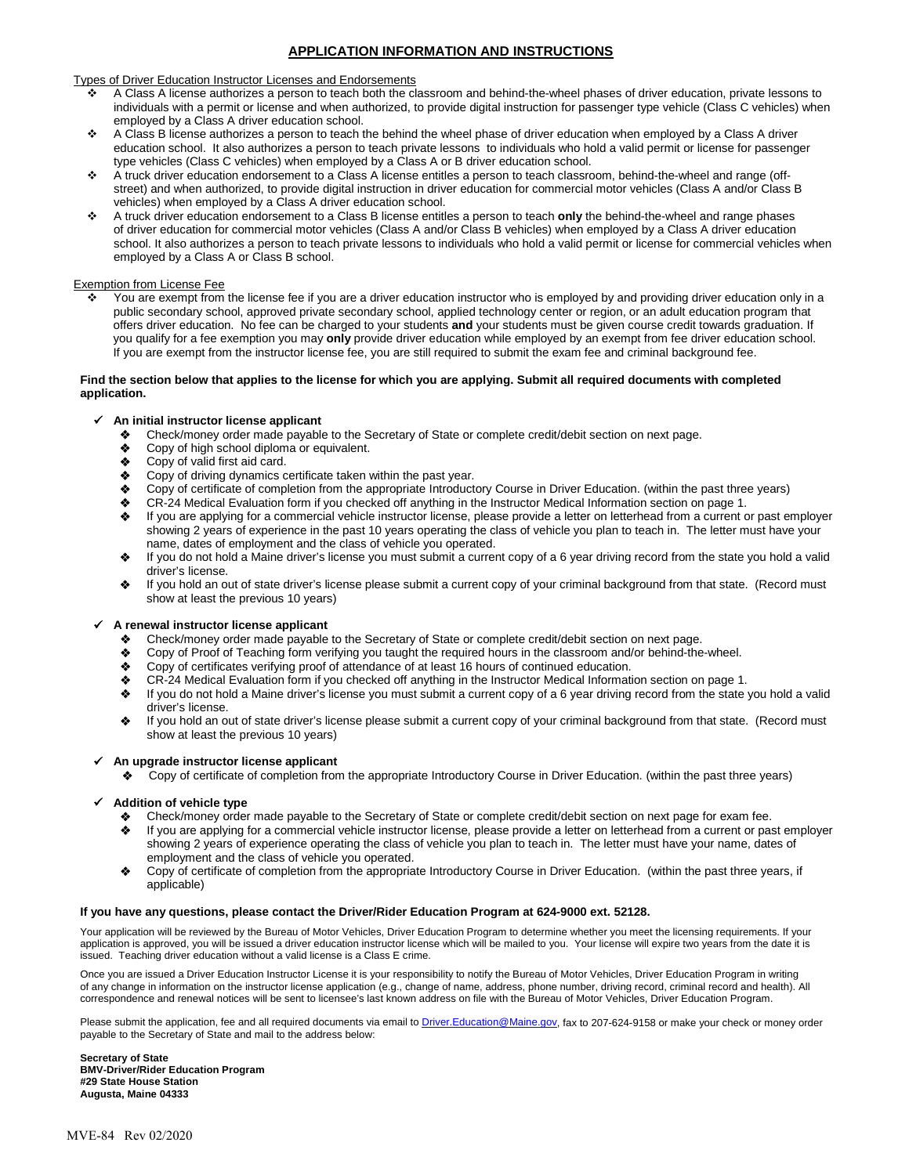# **APPLICATION INFORMATION AND INSTRUCTIONS**

# Types of Driver Education Instructor Licenses and Endorsements

- A Class A license authorizes a person to teach both the classroom and behind-the-wheel phases of driver education, private lessons to individuals with a permit or license and when authorized, to provide digital instruction for passenger type vehicle (Class C vehicles) when employed by a Class A driver education school.
- ◆ A Class B license authorizes a person to teach the behind the wheel phase of driver education when employed by a Class A driver education school. It also authorizes a person to teach private lessons to individuals who hold a valid permit or license for passenger type vehicles (Class C vehicles) when employed by a Class A or B driver education school.
- A truck driver education endorsement to a Class A license entitles a person to teach classroom, behind-the-wheel and range (off street) and when authorized, to provide digital instruction in driver education for commercial motor vehicles (Class A and/or Class B vehicles) when employed by a Class A driver education school.
- A truck driver education endorsement to a Class B license entitles a person to teach **only** the behind-the-wheel and range phases of driver education for commercial motor vehicles (Class A and/or Class B vehicles) when employed by a Class A driver education school. It also authorizes a person to teach private lessons to individuals who hold a valid permit or license for commercial vehicles when employed by a Class A or Class B school.

## Exemption from License Fee

You are exempt from the license fee if you are a driver education instructor who is employed by and providing driver education only in a public secondary school, approved private secondary school, applied technology center or region, or an adult education program that offers driver education. No fee can be charged to your students **and** your students must be given course credit towards graduation. If you qualify for a fee exemption you may **only** provide driver education while employed by an exempt from fee driver education school. If you are exempt from the instructor license fee, you are still required to submit the exam fee and criminal background fee.

#### **Find the section below that applies to the license for which you are applying. Submit all required documents with completed application.**

## **An initial instructor license applicant**

- Check/money order made payable to the Secretary of State or complete credit/debit section on next page.
- ◆ Copy of high school diploma or equivalent.<br>◆ Copy of valid first aid card.
- Copy of valid first aid card.
- Copy of driving dynamics certificate taken within the past year.
- Copy of certificate of completion from the appropriate Introductory Course in Driver Education. (within the past three years)
- CR-24 Medical Evaluation form if you checked off anything in the Instructor Medical Information section on page 1.
- If you are applying for a commercial vehicle instructor license, please provide a letter on letterhead from a current or past employer showing 2 years of experience in the past 10 years operating the class of vehicle you plan to teach in. The letter must have your name, dates of employment and the class of vehicle you operated.
- If you do not hold a Maine driver's license you must submit a current copy of a 6 year driving record from the state you hold a valid driver's license.
- If you hold an out of state driver's license please submit a current copy of your criminal background from that state. (Record must show at least the previous 10 years)

#### **A renewal instructor license applicant**

- Check/money order made payable to the Secretary of State or complete credit/debit section on next page.
- ◆ Copy of Proof of Teaching form verifying you taught the required hours in the classroom and/or behind-the-wheel.<br>◆ Copy of certificates verifying proof of attendance of at least 16 hours of continued education.
- Copy of certificates verifying proof of attendance of at least 16 hours of continued education.
- CR-24 Medical Evaluation form if you checked off anything in the Instructor Medical Information section on page 1.
- If you do not hold a Maine driver's license you must submit a current copy of a 6 year driving record from the state you hold a valid driver's license.
- ◆ If you hold an out of state driver's license please submit a current copy of your criminal background from that state. (Record must show at least the previous 10 years)

#### **An upgrade instructor license applicant**

Copy of certificate of completion from the appropriate Introductory Course in Driver Education. (within the past three years)

# **Addition of vehicle type**

- Check/money order made payable to the Secretary of State or complete credit/debit section on next page for exam fee.
- If you are applying for a commercial vehicle instructor license, please provide a letter on letterhead from a current or past employer showing 2 years of experience operating the class of vehicle you plan to teach in. The letter must have your name, dates of employment and the class of vehicle you operated.
- Copy of certificate of completion from the appropriate Introductory Course in Driver Education. (within the past three years, if applicable)

#### **If you have any questions, please contact the Driver/Rider Education Program at 624-9000 ext. 52128.**

Your application will be reviewed by the Bureau of Motor Vehicles, Driver Education Program to determine whether you meet the licensing requirements. If your application is approved, you will be issued a driver education instructor license which will be mailed to you. Your license will expire two years from the date it is issued. Teaching driver education without a valid license is a Class E crime.

Once you are issued a Driver Education Instructor License it is your responsibility to notify the Bureau of Motor Vehicles, Driver Education Program in writing of any change in information on the instructor license application (e.g., change of name, address, phone number, driving record, criminal record and health). All correspondence and renewal notices will be sent to licensee's last known address on file with the Bureau of Motor Vehicles, Driver Education Program.

Please submit the application, fee and all required documents via email to *Driver.Education@Maine.gov*, fax to 207-624-9158 or make your check or money order payable to the Secretary of State and mail to the address below:

**Secretary of State BMV-Driver/Rider Education Program #29 State House Station Augusta, Maine 04333**